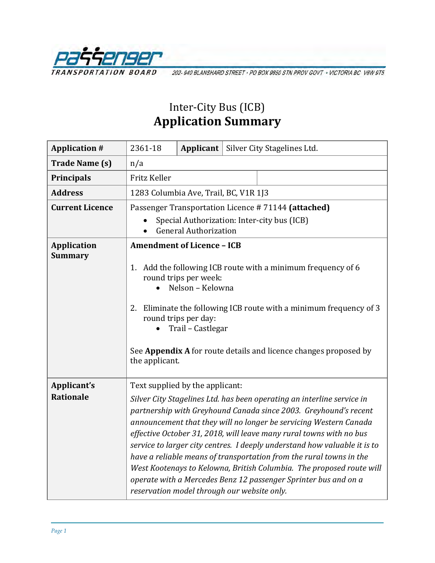

202-940 BLANSHARD STREET - PO BOX 9850 STN PROV GOVT - VICTORIA BC V8W 9T5

## Inter-City Bus (ICB) **Application Summary**

| <b>Application #</b>                 | 2361-18                                                                                                                                                                                                                                                                                                                                                                                                                                                                                                                                                                                                                                                                 | Applicant |  | Silver City Stagelines Ltd. |  |
|--------------------------------------|-------------------------------------------------------------------------------------------------------------------------------------------------------------------------------------------------------------------------------------------------------------------------------------------------------------------------------------------------------------------------------------------------------------------------------------------------------------------------------------------------------------------------------------------------------------------------------------------------------------------------------------------------------------------------|-----------|--|-----------------------------|--|
| <b>Trade Name (s)</b>                | n/a                                                                                                                                                                                                                                                                                                                                                                                                                                                                                                                                                                                                                                                                     |           |  |                             |  |
| Principals                           | Fritz Keller                                                                                                                                                                                                                                                                                                                                                                                                                                                                                                                                                                                                                                                            |           |  |                             |  |
| <b>Address</b>                       | 1283 Columbia Ave, Trail, BC, V1R 1J3                                                                                                                                                                                                                                                                                                                                                                                                                                                                                                                                                                                                                                   |           |  |                             |  |
| <b>Current Licence</b>               | Passenger Transportation Licence #71144 (attached)<br>Special Authorization: Inter-city bus (ICB)<br><b>General Authorization</b>                                                                                                                                                                                                                                                                                                                                                                                                                                                                                                                                       |           |  |                             |  |
| <b>Application</b><br><b>Summary</b> | <b>Amendment of Licence - ICB</b><br>1. Add the following ICB route with a minimum frequency of 6<br>round trips per week:<br>Nelson - Kelowna<br>Eliminate the following ICB route with a minimum frequency of 3<br>2.<br>round trips per day:<br>Trail - Castlegar<br>See Appendix A for route details and licence changes proposed by<br>the applicant.                                                                                                                                                                                                                                                                                                              |           |  |                             |  |
| Applicant's<br><b>Rationale</b>      | Text supplied by the applicant:<br>Silver City Stagelines Ltd. has been operating an interline service in<br>partnership with Greyhound Canada since 2003. Greyhound's recent<br>announcement that they will no longer be servicing Western Canada<br>effective October 31, 2018, will leave many rural towns with no bus<br>service to larger city centres. I deeply understand how valuable it is to<br>have a reliable means of transportation from the rural towns in the<br>West Kootenays to Kelowna, British Columbia. The proposed route will<br>operate with a Mercedes Benz 12 passenger Sprinter bus and on a<br>reservation model through our website only. |           |  |                             |  |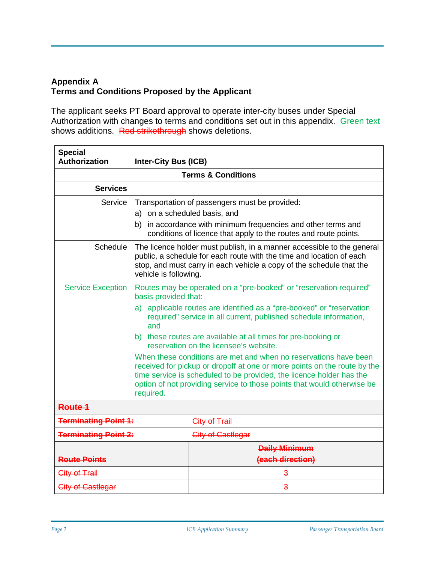## **Appendix A Terms and Conditions Proposed by the Applicant**

The applicant seeks PT Board approval to operate inter-city buses under Special Authorization with changes to terms and conditions set out in this appendix. Green text shows additions. Red strikethrough shows deletions.

| <b>Special</b><br><b>Authorization</b>           | <b>Inter-City Bus (ICB)</b>                                                                                                                                                                                                                                                                                  |                      |  |  |  |  |
|--------------------------------------------------|--------------------------------------------------------------------------------------------------------------------------------------------------------------------------------------------------------------------------------------------------------------------------------------------------------------|----------------------|--|--|--|--|
| <b>Terms &amp; Conditions</b>                    |                                                                                                                                                                                                                                                                                                              |                      |  |  |  |  |
| <b>Services</b>                                  |                                                                                                                                                                                                                                                                                                              |                      |  |  |  |  |
| Service                                          | Transportation of passengers must be provided:                                                                                                                                                                                                                                                               |                      |  |  |  |  |
|                                                  | a) on a scheduled basis, and<br>b) in accordance with minimum frequencies and other terms and<br>conditions of licence that apply to the routes and route points.                                                                                                                                            |                      |  |  |  |  |
| Schedule                                         | The licence holder must publish, in a manner accessible to the general<br>public, a schedule for each route with the time and location of each<br>stop, and must carry in each vehicle a copy of the schedule that the<br>vehicle is following.                                                              |                      |  |  |  |  |
| <b>Service Exception</b>                         | Routes may be operated on a "pre-booked" or "reservation required"<br>basis provided that:                                                                                                                                                                                                                   |                      |  |  |  |  |
|                                                  | a) applicable routes are identified as a "pre-booked" or "reservation<br>required" service in all current, published schedule information,<br>and                                                                                                                                                            |                      |  |  |  |  |
|                                                  | b) these routes are available at all times for pre-booking or<br>reservation on the licensee's website.                                                                                                                                                                                                      |                      |  |  |  |  |
|                                                  | When these conditions are met and when no reservations have been<br>received for pickup or dropoff at one or more points on the route by the<br>time service is scheduled to be provided, the licence holder has the<br>option of not providing service to those points that would otherwise be<br>required. |                      |  |  |  |  |
| Route 1                                          |                                                                                                                                                                                                                                                                                                              |                      |  |  |  |  |
| <b>Terminating Point 1:</b>                      |                                                                                                                                                                                                                                                                                                              | City of Trail        |  |  |  |  |
| <b>Terminating Point 2:</b><br>City of Castlegar |                                                                                                                                                                                                                                                                                                              |                      |  |  |  |  |
|                                                  |                                                                                                                                                                                                                                                                                                              | <b>Daily Minimum</b> |  |  |  |  |
| <b>Route Points</b>                              |                                                                                                                                                                                                                                                                                                              | (each direction)     |  |  |  |  |
| City of Trail                                    |                                                                                                                                                                                                                                                                                                              | $\overline{3}$       |  |  |  |  |
| City of Castlegar                                |                                                                                                                                                                                                                                                                                                              | $\overline{3}$       |  |  |  |  |